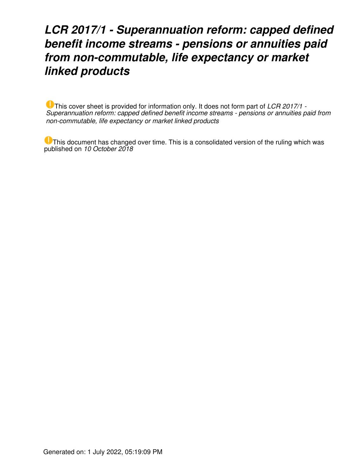# *LCR 2017/1 - Superannuation reform: capped defined benefit income streams - pensions or annuities paid from non-commutable, life expectancy or market linked products*

This cover sheet is provided for information only. It does not form part of *LCR 2017/1 - Superannuation reform: capped defined benefit income streams - pensions or annuities paid from non-commutable, life expectancy or market linked products*

This document has changed over time. This is a consolidated version of the ruling which was published on *10 October 2018*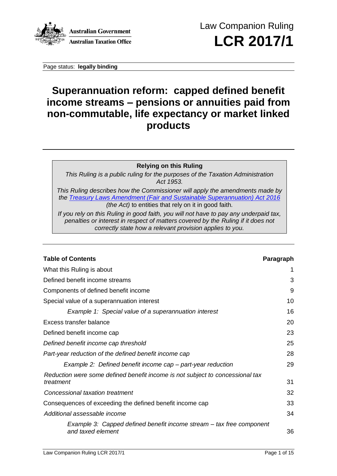

Page status: **legally binding**

## **Superannuation reform: capped defined benefit income streams – pensions or annuities paid from non-commutable, life expectancy or market linked products**

## **Relying on this Ruling**

*This Ruling is a public ruling for the purposes of the Taxation Administration Act 1953.*

*This Ruling describes how the Commissioner will apply the amendments made by the [Treasury Laws Amendment \(Fair and Sustainable Superannuation\) Act](http://atolaw/170426122302/View.htm?DocID=PAC/20160081/ATOTOC&PiT=99991231235958) 2016 (the Act)* to entities that rely on it in good faith*.*

*If you rely on this Ruling in good faith, you will not have to pay any underpaid tax, penalties or interest in respect of matters covered by the Ruling if it does not correctly state how a relevant provision applies to you.*

| <b>Table of Contents</b>                                                                  | Paragraph |
|-------------------------------------------------------------------------------------------|-----------|
| What this Ruling is about                                                                 |           |
| Defined benefit income streams                                                            | 3         |
| Components of defined benefit income                                                      | 9         |
| Special value of a superannuation interest                                                | 10        |
| Example 1: Special value of a superannuation interest                                     | 16        |
| Excess transfer balance                                                                   | 20        |
| Defined benefit income cap                                                                | 23        |
| Defined benefit income cap threshold                                                      | 25        |
| Part-year reduction of the defined benefit income cap                                     | 28        |
| Example 2: Defined benefit income cap – part-year reduction                               | 29        |
| Reduction were some defined benefit income is not subject to concessional tax             |           |
| treatment                                                                                 | 31        |
| Concessional taxation treatment                                                           | 32        |
| Consequences of exceeding the defined benefit income cap                                  | 33        |
| Additional assessable income                                                              | 34        |
| Example 3: Capped defined benefit income stream - tax free component<br>and taxed element | 36        |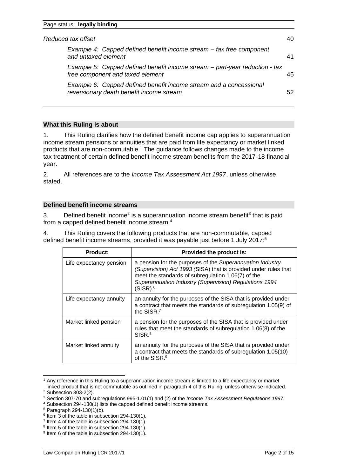| Reduced tax offset<br>40                                                                                        |    |
|-----------------------------------------------------------------------------------------------------------------|----|
| Example 4: Capped defined benefit income stream - tax free component<br>and untaxed element                     | 41 |
| Example 5: Capped defined benefit income stream – part-year reduction - tax<br>free component and taxed element | 45 |
| Example 6: Capped defined benefit income stream and a concessional<br>reversionary death benefit income stream  | 52 |

## **What this Ruling is about**

1. This Ruling clarifies how the defined benefit income cap applies to superannuation income stream pensions or annuities that are paid from life expectancy or market linked products that are non-commutable. <sup>1</sup> The guidance follows changes made to the income tax treatment of certain defined benefit income stream benefits from the 2017-18 financial year.

2. All references are to the *Income Tax Assessment Act 1997*, unless otherwise stated.

## **Defined benefit income streams**

3. Defined benefit income<sup>2</sup> is a superannuation income stream benefit<sup>3</sup> that is paid from a capped defined benefit income stream.<sup>4</sup>

4. This Ruling covers the following products that are non-commutable, capped defined benefit income streams, provided it was payable just before 1 July 2017:<sup>5</sup>

| <b>Product:</b>         | Provided the product is:                                                                                                                                                                                                                                             |
|-------------------------|----------------------------------------------------------------------------------------------------------------------------------------------------------------------------------------------------------------------------------------------------------------------|
| Life expectancy pension | a pension for the purposes of the Superannuation Industry<br>(Supervision) Act 1993 (SISA) that is provided under rules that<br>meet the standards of subregulation 1.06(7) of the<br>Superannuation Industry (Supervision) Regulations 1994<br>(SISR). <sup>6</sup> |
| Life expectancy annuity | an annuity for the purposes of the SISA that is provided under<br>a contract that meets the standards of subregulation 1.05(9) of<br>the SISR.7                                                                                                                      |
| Market linked pension   | a pension for the purposes of the SISA that is provided under<br>rules that meet the standards of subregulation 1.06(8) of the<br>SISR. <sup>8</sup>                                                                                                                 |
| Market linked annuity   | an annuity for the purposes of the SISA that is provided under<br>a contract that meets the standards of subregulation 1.05(10)<br>of the SISR. <sup>9</sup>                                                                                                         |

<sup>1</sup> Any reference in this Ruling to a superannuation income stream is limited to a life expectancy or market linked product that is not commutable as outlined in paragraph 4 of this Ruling, unless otherwise indicated.

<sup>2</sup> Subsection 303-2(2).

<sup>3</sup> Section 307-70 and subregulations 995-1.01(1) and (2) of the *Income Tax Assessment Regulations 1997*.

<sup>4</sup> Subsection 294-130(1) lists the capped defined benefit income streams.

 $5$  Paragraph 294-130(1)(b).

<sup>&</sup>lt;sup>6</sup> Item 3 of the table in subsection 294-130(1).

 $7$  Item 4 of the table in subsection 294-130(1).

<sup>&</sup>lt;sup>8</sup> Item 5 of the table in subsection 294-130(1).

<sup>&</sup>lt;sup>9</sup> Item 6 of the table in subsection 294-130(1).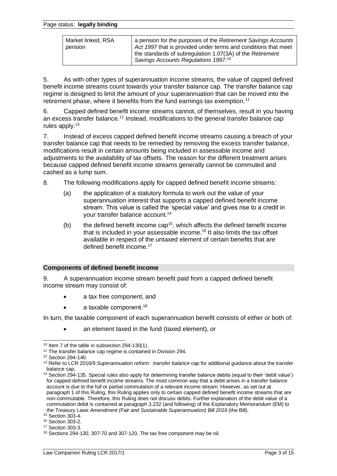#### Page status: **legally binding**

| Market linked, RSA<br>pension | a pension for the purposes of the Retirement Savings Accounts<br>Act 1997 that is provided under terms and conditions that meet<br>the standards of subregulation 1.07(3A) of the Retirement |
|-------------------------------|----------------------------------------------------------------------------------------------------------------------------------------------------------------------------------------------|
|                               | Savings Accounts Regulations 1997.10                                                                                                                                                         |

5. As with other types of superannuation income streams, the value of capped defined benefit income streams count towards your transfer balance cap. The transfer balance cap regime is designed to limit the amount of your superannuation that can be moved into the retirement phase, where it benefits from the fund earnings tax exemption.<sup>11</sup>

6. Capped defined benefit income streams cannot, of themselves, result in you having an excess transfer balance.<sup>12</sup> Instead, modifications to the general transfer balance cap rules apply.<sup>13</sup>

7. Instead of excess capped defined benefit income streams causing a breach of your transfer balance cap that needs to be remedied by removing the excess transfer balance, modifications result in certain amounts being included in assessable income and adjustments to the availability of tax offsets. The reason for the different treatment arises because capped defined benefit income streams generally cannot be commuted and cashed as a lump sum.

- 8. The following modifications apply for capped defined benefit income streams:
	- (a) the application of a statutory formula to work out the value of your superannuation interest that supports a capped defined benefit income stream. This value is called the 'special value' and gives rise to a credit in your transfer balance account.<sup>14</sup>
	- (b) the defined benefit income cap<sup>15</sup>, which affects the defined benefit income that is included in your assessable income. <sup>16</sup> It also limits the tax offset available in respect of the untaxed element of certain benefits that are defined benefit income <sup>17</sup>

#### **Components of defined benefit income**

9. A superannuation income stream benefit paid from a capped defined benefit income stream may consist of:

- a tax free component, and
- a taxable component.<sup>18</sup>

In turn, the taxable component of each superannuation benefit consists of either or both of:

• an element taxed in the fund (taxed element), or

 $10$  Item 7 of the table in subsection 294-130(1).

<sup>&</sup>lt;sup>11</sup> The transfer balance cap regime is contained in Division 294.

<sup>12</sup> Section 294-140.

<sup>13</sup> Refer to LCR 2016/9 *Superannuation reform: transfer balance cap* for additional guidance about the transfer balance cap.

<sup>14</sup> Section 294-135. Special rules also apply for determining transfer balance debits (equal to their 'debit value') for capped defined benefit income streams. The most common way that a debit arises in a transfer balance account is due to the full or partial commutation of a relevant income stream. However, as set out at paragraph 1 of this Ruling, this Ruling applies only to certain capped defined benefit income streams that are non-commutable. Therefore, this Ruling does not discuss debits. Further explanation of the debit value of a commutation debit is contained at paragraph 3.232 (and following) of the Explanatory Memorandum (EM) to the *Treasury Laws Amendment (Fair and Sustainable Superannuation) Bill 2016* (the Bill).

<sup>15</sup> Section 303-4.

<sup>16</sup> Section 303-2.

<sup>17</sup> Section 303-3.

<sup>18</sup> Sections 294-130, 307-70 and 307-120. The tax free component may be nil.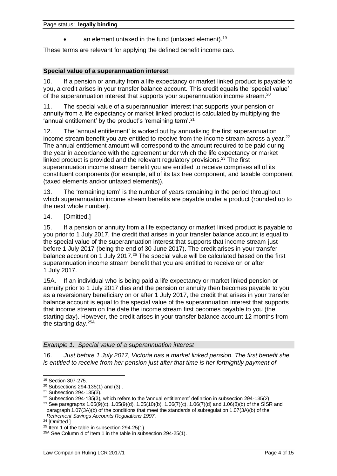an element untaxed in the fund (untaxed element).<sup>19</sup>

These terms are relevant for applying the defined benefit income cap.

## **Special value of a superannuation interest**

10. If a pension or annuity from a life expectancy or market linked product is payable to you, a credit arises in your transfer balance account. This credit equals the 'special value' of the superannuation interest that supports your superannuation income stream.<sup>20</sup>

11. The special value of a superannuation interest that supports your pension or annuity from a life expectancy or market linked product is calculated by multiplying the 'annual entitlement' by the product's 'remaining term'.<sup>21</sup>

12. The 'annual entitlement' is worked out by annualising the first superannuation income stream benefit you are entitled to receive from the income stream across a year.<sup>22</sup> The annual entitlement amount will correspond to the amount required to be paid during the year in accordance with the agreement under which the life expectancy or market linked product is provided and the relevant regulatory provisions. $23$  The first superannuation income stream benefit you are entitled to receive comprises all of its constituent components (for example, all of its tax free component, and taxable component (taxed elements and/or untaxed elements)).

13. The 'remaining term' is the number of years remaining in the period throughout which superannuation income stream benefits are payable under a product (rounded up to the next whole number).

## 14. **[Omitted.]**

15. If a pension or annuity from a life expectancy or market linked product is payable to you prior to 1 July 2017, the credit that arises in your transfer balance account is equal to the special value of the superannuation interest that supports that income stream just before 1 July 2017 (being the end of 30 June 2017). The credit arises in your transfer balance account on 1 July 2017.<sup>25</sup> The special value will be calculated based on the first superannuation income stream benefit that you are entitled to receive on or after 1 July 2017.

15A. If an individual who is being paid a life expectancy or market linked pension or annuity prior to 1 July 2017 dies and the pension or annuity then becomes payable to you as a reversionary beneficiary on or after 1 July 2017, the credit that arises in your transfer balance account is equal to the special value of the superannuation interest that supports that income stream on the date the income stream first becomes payable to you (the starting day). However, the credit arises in your transfer balance account 12 months from the starting day.<sup>25A</sup>

## *Example 1: Special value of a superannuation interest*

16. *Just before 1 July 2017, Victoria has a market linked pension. The first benefit she is entitled to receive from her pension just after that time is her fortnightly payment of* 

<sup>23</sup> See paragraphs 1.05(9)(c), 1.05(9)(d), 1.05(10)(b), 1.06(7)(c), 1.06(7)(d) and 1.06(8)(b) of the SISR and paragraph 1.07(3A)(b) of the conditions that meet the standards of subregulation 1.07(3A)(b) of the *Retirement Savings Accounts Regulations 1997*.

<sup>19</sup> Section 307-275.

 $20$  Subsections 294-135(1) and (3).

<sup>21</sup> Subsection 294-135(3).

 $22$  Subsection 294-135(3), which refers to the 'annual entitlement' definition in subsection 294-135(2).

<sup>&</sup>lt;sup>24</sup> [Omitted.]

<sup>&</sup>lt;sup>25</sup> Item 1 of the table in subsection 294-25(1).

<sup>&</sup>lt;sup>25A</sup> See Column 4 of Item 1 in the table in subsection 294-25(1).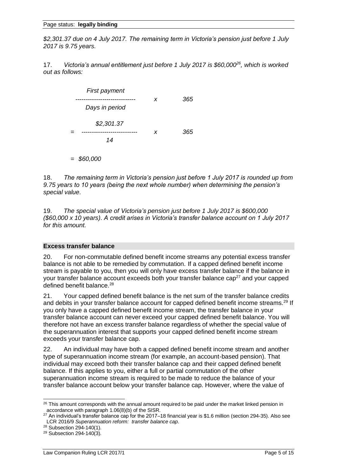*\$2,301.37 due on 4 July 2017. The remaining term in Victoria's pension just before 1 July 2017 is 9.75 years.* 

17. *Victoria's annual entitlement just before 1 July 2017 is \$60,000<sup>26</sup> , which is worked out as follows:*

| <b>First payment</b> | x | 365  |
|----------------------|---|------|
| Days in period       |   |      |
| \$2,301.37<br>14     | x | 365. |

*= \$60,000*

18. *The remaining term in Victoria's pension just before 1 July 2017 is rounded up from 9.75 years to 10 years (being the next whole number) when determining the pension's special value.* 

19. *The special value of Victoria's pension just before 1 July 2017 is \$600,000 (\$60,000 x 10 years). A credit arises in Victoria's transfer balance account on 1 July 2017 for this amount.*

## **Excess transfer balance**

20. For non-commutable defined benefit income streams any potential excess transfer balance is not able to be remedied by commutation. If a capped defined benefit income stream is payable to you, then you will only have excess transfer balance if the balance in your transfer balance account exceeds both your transfer balance cap<sup>27</sup> and your capped defined benefit balance.<sup>28</sup>

21. Your capped defined benefit balance is the net sum of the transfer balance credits and debits in your transfer balance account for capped defined benefit income streams.<sup>29</sup> If you only have a capped defined benefit income stream, the transfer balance in your transfer balance account can never exceed your capped defined benefit balance. You will therefore not have an excess transfer balance regardless of whether the special value of the superannuation interest that supports your capped defined benefit income stream exceeds your transfer balance cap.

22. An individual may have both a capped defined benefit income stream and another type of superannuation income stream (for example, an account-based pension). That individual may exceed both their transfer balance cap and their capped defined benefit balance. If this applies to you, either a full or partial commutation of the other superannuation income stream is required to be made to reduce the balance of your transfer balance account below your transfer balance cap. However, where the value of

<sup>&</sup>lt;sup>26</sup> This amount corresponds with the annual amount required to be paid under the market linked pension in accordance with paragraph 1.06(8)(b) of the SISR.

<sup>27</sup> An individual's transfer balance cap for the 2017*–*18 financial year is \$1.6 million (section 294-35). Also see LCR 2016/9 *Superannuation reform: transfer balance cap*.

<sup>28</sup> Subsection 294-140(1).

<sup>29</sup> Subsection 294-140(3).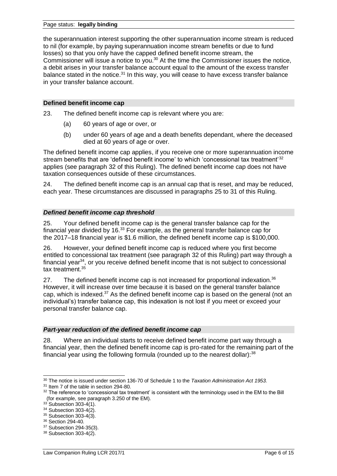#### Page status: **legally binding**

the superannuation interest supporting the other superannuation income stream is reduced to nil (for example, by paying superannuation income stream benefits or due to fund losses) so that you only have the capped defined benefit income stream, the Commissioner will issue a notice to you.<sup>30</sup> At the time the Commissioner issues the notice, a debit arises in your transfer balance account equal to the amount of the excess transfer balance stated in the notice. $31$  In this way, you will cease to have excess transfer balance in your transfer balance account.

#### **Defined benefit income cap**

23. The defined benefit income cap is relevant where you are:

- (a) 60 years of age or over, or
- (b) under 60 years of age and a death benefits dependant, where the deceased died at 60 years of age or over.

The defined benefit income cap applies, if you receive one or more superannuation income stream benefits that are 'defined benefit income' to which 'concessional tax treatment'<sup>32</sup> applies (see paragraph 32 of this Ruling). The defined benefit income cap does not have taxation consequences outside of these circumstances.

24. The defined benefit income cap is an annual cap that is reset, and may be reduced, each year. These circumstances are discussed in paragraphs 25 to 31 of this Ruling.

#### *Defined benefit income cap threshold*

25. Your defined benefit income cap is the general transfer balance cap for the financial year divided by 16. $33$  For example, as the general transfer balance cap for the 2017*–*18 financial year is \$1.6 million, the defined benefit income cap is \$100,000.

26. However, your defined benefit income cap is reduced where you first become entitled to concessional tax treatment (see paragraph 32 of this Ruling) part way through a financial year<sup>34</sup>, or you receive defined benefit income that is not subject to concessional tax treatment. 35

27. The defined benefit income cap is not increased for proportional indexation.<sup>36</sup> However, it will increase over time because it is based on the general transfer balance cap, which is indexed.<sup>37</sup> As the defined benefit income cap is based on the general (not an individual's) transfer balance cap, this indexation is not lost if you meet or exceed your personal transfer balance cap.

## *Part-year reduction of the defined benefit income cap*

28. Where an individual starts to receive defined benefit income part way through a financial year, then the defined benefit income cap is pro-rated for the remaining part of the financial year using the following formula (rounded up to the nearest dollar): $38$ 

<sup>30</sup> The notice is issued under section 136-70 of Schedule 1 to the *Taxation Administration Act 1953.*

<sup>31</sup> Item 7 of the table in section 294-80.

 $32$  The reference to 'concessional tax treatment' is consistent with the terminology used in the EM to the Bill (for example, see paragraph 3.250 of the EM).

 $33$  Subsection 303-4(1).

<sup>&</sup>lt;sup>34</sup> Subsection 303-4(2).

<sup>35</sup> Subsection 303-4(3).

<sup>&</sup>lt;sup>36</sup> Section 294-40.

<sup>37</sup> Subsection 294-35(3). <sup>38</sup> Subsection 303-4(2).

Law Companion Ruling LCR 2017/1 **Page 6 of 15** and 2017/1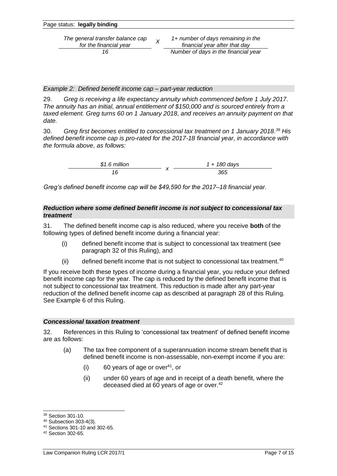| Page status: legally binding |  |
|------------------------------|--|
|                              |  |

*The general transfer balance cap for the financial year <sup>X</sup>*

*1+ number of days remaining in the financial year after that day 16 Number of days in the financial year*

*Example 2: Defined benefit income cap – part-year reduction* 

29. *Greg is receiving a life expectancy annuity which commenced before 1 July 2017. The annuity has an initial, annual entitlement of \$150,000 and is sourced entirely from a taxed element. Greg turns 60 on 1 January 2018, and receives an annuity payment on that date.* 

30. *Greg first becomes entitled to concessional tax treatment on 1 January 2018. <sup>39</sup> His defined benefit income cap is pro-rated for the 2017-18 financial year, in accordance with the formula above, as follows:*

| $$1.6$ million | $1 + 180$ days |
|----------------|----------------|
|                | 365            |

*Greg's defined benefit income cap will be \$49,590 for the 2017–18 financial year.*

#### *Reduction where some defined benefit income is not subject to concessional tax treatment*

31. The defined benefit income cap is also reduced, where you receive **both** of the following types of defined benefit income during a financial year:

- (i) defined benefit income that is subject to concessional tax treatment (see paragraph 32 of this Ruling), and
- (ii) defined benefit income that is not subject to concessional tax treatment. $40$

If you receive both these types of income during a financial year, you reduce your defined benefit income cap for the year. The cap is reduced by the defined benefit income that is not subject to concessional tax treatment. This reduction is made after any part-year reduction of the defined benefit income cap as described at paragraph 28 of this Ruling. See Example 6 of this Ruling.

## *Concessional taxation treatment*

32. References in this Ruling to 'concessional tax treatment' of defined benefit income are as follows:

- (a) The tax free component of a superannuation income stream benefit that is defined benefit income is non-assessable, non-exempt income if you are:
	- $(i)$  60 years of age or over<sup>41</sup>, or
	- (ii) under 60 years of age and in receipt of a death benefit, where the deceased died at 60 years of age or over.<sup>42</sup>

<sup>39</sup> Section 301-10.

<sup>40</sup> Subsection 303-4(3).

<sup>41</sup> Sections 301-10 and 302-65.

<sup>42</sup> Section 302-65.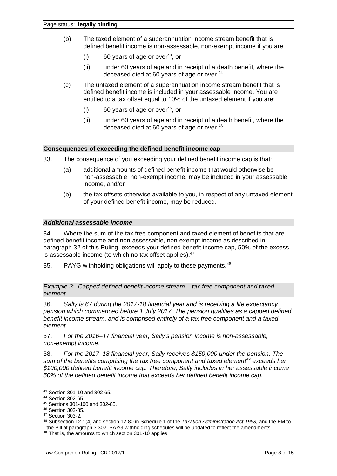- (b) The taxed element of a superannuation income stream benefit that is defined benefit income is non-assessable, non-exempt income if you are:
	- $(i)$  60 years of age or over<sup>43</sup>, or
	- (ii) under 60 years of age and in receipt of a death benefit, where the deceased died at 60 years of age or over.<sup>44</sup>
- (c) The untaxed element of a superannuation income stream benefit that is defined benefit income is included in your assessable income. You are entitled to a tax offset equal to 10% of the untaxed element if you are:
	- $(i)$  60 years of age or over<sup>45</sup>, or
	- (ii) under 60 years of age and in receipt of a death benefit, where the deceased died at 60 years of age or over.<sup>46</sup>

#### **Consequences of exceeding the defined benefit income cap**

- 33. The consequence of you exceeding your defined benefit income cap is that:
	- (a) additional amounts of defined benefit income that would otherwise be non-assessable, non-exempt income, may be included in your assessable income, and/or
	- (b) the tax offsets otherwise available to you, in respect of any untaxed element of your defined benefit income, may be reduced.

#### *Additional assessable income*

34. Where the sum of the tax free component and taxed element of benefits that are defined benefit income and non-assessable, non-exempt income as described in paragraph 32 of this Ruling, exceeds your defined benefit income cap, 50% of the excess is assessable income (to which no tax offset applies).<sup>47</sup>

35. PAYG withholding obligations will apply to these payments.<sup>48</sup>

*Example 3: Capped defined benefit income stream – tax free component and taxed element*

36. *Sally is 67 during the 2017-18 financial year and is receiving a life expectancy pension which commenced before 1 July 2017. The pension qualifies as a capped defined benefit income stream, and is comprised entirely of a tax free component and a taxed element.*

37. *For the 2016–17 financial year, Sally's pension income is non-assessable, non-exempt income.*

38. *For the 2017–18 financial year, Sally receives \$150,000 under the pension. The sum of the benefits comprising the tax free component and taxed element<sup>49</sup> exceeds her \$100,000 defined benefit income cap. Therefore, Sally includes in her assessable income 50% of the defined benefit income that exceeds her defined benefit income cap.*

<sup>43</sup> Section 301-10 and 302-65.

<sup>44</sup> Section 302-65.

<sup>45</sup> Sections 301-100 and 302-85.

<sup>46</sup> Section 302-85.

<sup>47</sup> Section 303-2.

<sup>48</sup> Subsection 12-1(4) and section 12-80 in Schedule 1 of the *Taxation Administration Act 1953,* and the EM to the Bill at paragraph 3.302. PAYG withholding schedules will be updated to reflect the amendments.

<sup>49</sup> That is, the amounts to which section 301-10 applies.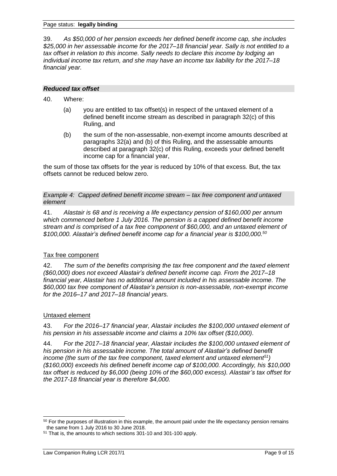39. *As \$50,000 of her pension exceeds her defined benefit income cap, she includes \$25,000 in her assessable income for the 2017–18 financial year. Sally is not entitled to a tax offset in relation to this income. Sally needs to declare this income by lodging an individual income tax return, and she may have an income tax liability for the 2017–18 financial year.*

#### *Reduced tax offset*

- 40. Where:
	- (a) you are entitled to tax offset(s) in respect of the untaxed element of a defined benefit income stream as described in paragraph 32(c) of this Ruling, and
	- (b) the sum of the non-assessable, non-exempt income amounts described at paragraphs 32(a) and (b) of this Ruling, and the assessable amounts described at paragraph 32(c) of this Ruling, exceeds your defined benefit income cap for a financial year,

the sum of those tax offsets for the year is reduced by 10% of that excess. But, the tax offsets cannot be reduced below zero.

*Example 4: Capped defined benefit income stream – tax free component and untaxed element*

41. *Alastair is 68 and is receiving a life expectancy pension of \$160,000 per annum which commenced before 1 July 2016. The pension is a capped defined benefit income stream and is comprised of a tax free component of \$60,000, and an untaxed element of \$100,000. Alastair's defined benefit income cap for a financial year is \$100,000.<sup>50</sup>*

## Tax free component

42. *The sum of the benefits comprising the tax free component and the taxed element (\$60,000) does not exceed Alastair's defined benefit income cap. From the 2017–18 financial year, Alastair has no additional amount included in his assessable income. The \$60,000 tax free component of Alastair's pension is non-assessable, non-exempt income for the 2016–17 and 2017–18 financial years.*

## Untaxed element

43. *For the 2016–17 financial year, Alastair includes the \$100,000 untaxed element of his pension in his assessable income and claims a 10% tax offset (\$10,000).*

44. *For the 2017–18 financial year, Alastair includes the \$100,000 untaxed element of his pension in his assessable income. The total amount of Alastair's defined benefit income (the sum of the tax free component, taxed element and untaxed element<sup>51</sup>) (\$160,000) exceeds his defined benefit income cap of \$100,000. Accordingly, his \$10,000 tax offset is reduced by \$6,000 (being 10% of the \$60,000 excess). Alastair's tax offset for the 2017-18 financial year is therefore \$4,000.*

<sup>&</sup>lt;sup>50</sup> For the purposes of illustration in this example, the amount paid under the life expectancy pension remains the same from 1 July 2016 to 30 June 2018.

<sup>51</sup> That is, the amounts to which sections 301-10 and 301-100 apply.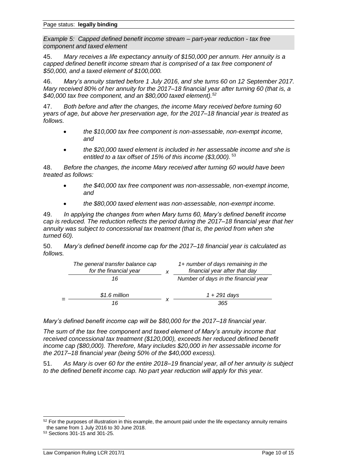*Example 5: Capped defined benefit income stream – part-year reduction - tax free component and taxed element*

45. *Mary receives a life expectancy annuity of \$150,000 per annum. Her annuity is a capped defined benefit income stream that is comprised of a tax free component of \$50,000, and a taxed element of \$100,000.*

46. *Mary's annuity started before 1 July 2016, and she turns 60 on 12 September 2017. Mary received 80% of her annuity for the 2017–18 financial year after turning 60 (that is, a \$40,000 tax free component, and an \$80,000 taxed element).<sup>52</sup>*

47. *Both before and after the changes, the income Mary received before turning 60 years of age, but above her preservation age, for the 2017–18 financial year is treated as follows.*

- *the \$10,000 tax free component is non-assessable, non-exempt income, and*
- *the \$20,000 taxed element is included in her assessable income and she is entitled to a tax offset of 15% of this income (\$3,000).* <sup>53</sup>

48. *Before the changes, the income Mary received after turning 60 would have been treated as follows:*

- *the \$40,000 tax free component was non-assessable, non-exempt income, and*
- *the \$80,000 taxed element was non-assessable, non-exempt income.*

49. *In applying the changes from when Mary turns 60, Mary's defined benefit income cap is reduced. The reduction reflects the period during the 2017–18 financial year that her annuity was subject to concessional tax treatment (that is, the period from when she turned 60).*

50. *Mary's defined benefit income cap for the 2017–18 financial year is calculated as follows.*

| The general transfer balance cap<br>for the financial year | 1+ number of days remaining in the<br>financial year after that day |
|------------------------------------------------------------|---------------------------------------------------------------------|
| 16                                                         | Number of days in the financial year                                |
| \$1.6 million                                              | 1 + 291 days                                                        |
| 16                                                         | 365                                                                 |

*Mary's defined benefit income cap will be \$80,000 for the 2017–18 financial year.*

*The sum of the tax free component and taxed element of Mary's annuity income that received concessional tax treatment (\$120,000), exceeds her reduced defined benefit income cap (\$80,000). Therefore, Mary includes \$20,000 in her assessable income for the 2017–18 financial year (being 50% of the \$40,000 excess).*

51. *As Mary is over 60 for the entire 2018–19 financial year, all of her annuity is subject to the defined benefit income cap. No part year reduction will apply for this year.*

<sup>&</sup>lt;sup>52</sup> For the purposes of illustration in this example, the amount paid under the life expectancy annuity remains the same from 1 July 2016 to 30 June 2018.

<sup>53</sup> Sections 301-15 and 301-25.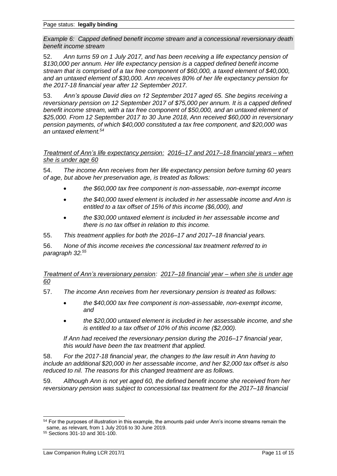*Example 6: Capped defined benefit income stream and a concessional reversionary death benefit income stream*

52. *Ann turns 59 on 1 July 2017, and has been receiving a life expectancy pension of \$130,000 per annum. Her life expectancy pension is a capped defined benefit income stream that is comprised of a tax free component of \$60,000, a taxed element of \$40,000, and an untaxed element of \$30,000. Ann receives 80% of her life expectancy pension for the 2017-18 financial year after 12 September 2017.*

53. *Ann's spouse David dies on 12 September 2017 aged 65. She begins receiving a reversionary pension on 12 September 2017 of \$75,000 per annum. It is a capped defined benefit income stream, with a tax free component of \$50,000, and an untaxed element of \$25,000. From 12 September 2017 to 30 June 2018, Ann received \$60,000 in reversionary pension payments, of which \$40,000 constituted a tax free component, and \$20,000 was an untaxed element.<sup>54</sup>*

*Treatment of Ann's life expectancy pension: 2016–17 and 2017–18 financial years – when she is under age 60*

54. *The income Ann receives from her life expectancy pension before turning 60 years of age, but above her preservation age, is treated as follows:* 

- *the \$60,000 tax free component is non-assessable, non-exempt income*
- *the \$40,000 taxed element is included in her assessable income and Ann is entitled to a tax offset of 15% of this income (\$6,000), and*
- *the \$30,000 untaxed element is included in her assessable income and there is no tax offset in relation to this income.*
- 55. *This treatment applies for both the 2016–17 and 2017–18 financial years.*

56. *None of this income receives the concessional tax treatment referred to in paragraph 32. 55*

*Treatment of Ann's reversionary pension: 2017–18 financial year – when she is under age 60*

- 57. *The income Ann receives from her reversionary pension is treated as follows:*
	- *the \$40,000 tax free component is non-assessable, non-exempt income, and*
	- *the \$20,000 untaxed element is included in her assessable income, and she is entitled to a tax offset of 10% of this income (\$2,000).*

*If Ann had received the reversionary pension during the 2016–17 financial year, this would have been the tax treatment that applied.*

58. *For the 2017-18 financial year, the changes to the law result in Ann having to include an additional \$20,000 in her assessable income, and her \$2,000 tax offset is also reduced to nil. The reasons for this changed treatment are as follows.*

59. *Although Ann is not yet aged 60, the defined benefit income she received from her reversionary pension was subject to concessional tax treatment for the 2017–18 financial* 

<sup>&</sup>lt;sup>54</sup> For the purposes of illustration in this example, the amounts paid under Ann's income streams remain the same, as relevant, from 1 July 2016 to 30 June 2019.

<sup>55</sup> Sections 301-10 and 301-100.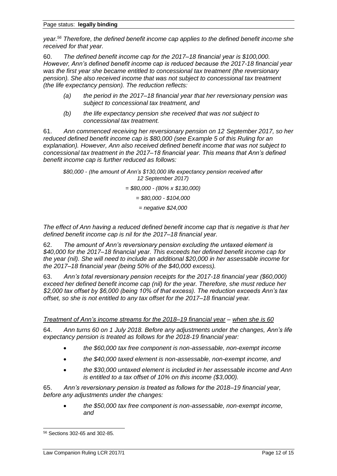*year. <sup>56</sup> Therefore, the defined benefit income cap applies to the defined benefit income she received for that year.*

60. *The defined benefit income cap for the 2017–18 financial year is \$100,000. However, Ann's defined benefit income cap is reduced because the 2017-18 financial year was the first year she became entitled to concessional tax treatment (the reversionary pension). She also received income that was not subject to concessional tax treatment (the life expectancy pension). The reduction reflects:*

- *(a) the period in the 2017–18 financial year that her reversionary pension was subject to concessional tax treatment, and*
- *(b) the life expectancy pension she received that was not subject to concessional tax treatment.*

61. *Ann commenced receiving her reversionary pension on 12 September 2017, so her reduced defined benefit income cap is \$80,000 (see Example 5 of this Ruling for an explanation). However, Ann also received defined benefit income that was not subject to concessional tax treatment in the 2017–18 financial year. This means that Ann's defined benefit income cap is further reduced as follows:*

*\$80,000 - (the amount of Ann's \$130,000 life expectancy pension received after 12 September 2017)*

*= \$80,000 - (80% x \$130,000)*

*= \$80,000 - \$104,000*

*= negative \$24,000*

*The effect of Ann having a reduced defined benefit income cap that is negative is that her defined benefit income cap is nil for the 2017–18 financial year.*

62. *The amount of Ann's reversionary pension excluding the untaxed element is \$40,000 for the 2017–18 financial year. This exceeds her defined benefit income cap for the year (nil). She will need to include an additional \$20,000 in her assessable income for the 2017–18 financial year (being 50% of the \$40,000 excess).*

63. *Ann's total reversionary pension receipts for the 2017-18 financial year (\$60,000) exceed her defined benefit income cap (nil) for the year. Therefore, she must reduce her \$2,000 tax offset by \$6,000 (being 10% of that excess). The reduction exceeds Ann's tax offset, so she is not entitled to any tax offset for the 2017–18 financial year.*

*Treatment of Ann's income streams for the 2018–19 financial year – when she is 60*

64. *Ann turns 60 on 1 July 2018. Before any adjustments under the changes, Ann's life expectancy pension is treated as follows for the 2018-19 financial year:*

- *the \$60,000 tax free component is non-assessable, non-exempt income*
- *the \$40,000 taxed element is non-assessable, non-exempt income, and*
- *the \$30,000 untaxed element is included in her assessable income and Ann is entitled to a tax offset of 10% on this income (\$3,000).*

65. *Ann's reversionary pension is treated as follows for the 2018–19 financial year, before any adjustments under the changes:*

• *the \$50,000 tax free component is non-assessable, non-exempt income, and*

<sup>56</sup> Sections 302-65 and 302-85.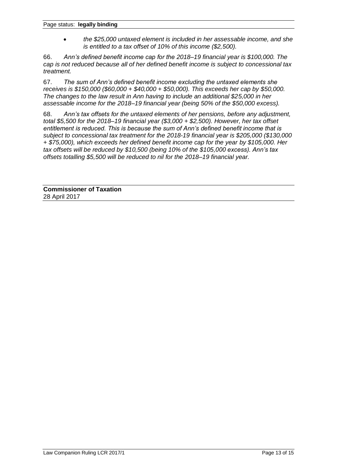• *the \$25,000 untaxed element is included in her assessable income, and she is entitled to a tax offset of 10% of this income (\$2,500).*

66. *Ann's defined benefit income cap for the 2018–19 financial year is \$100,000. The cap is not reduced because all of her defined benefit income is subject to concessional tax treatment.*

67. *The sum of Ann's defined benefit income excluding the untaxed elements she receives is \$150,000 (\$60,000 + \$40,000 + \$50,000). This exceeds her cap by \$50,000. The changes to the law result in Ann having to include an additional \$25,000 in her assessable income for the 2018–19 financial year (being 50% of the \$50,000 excess).*

68. *Ann's tax offsets for the untaxed elements of her pensions, before any adjustment, total \$5,500 for the 2018–19 financial year (\$3,000 + \$2,500). However, her tax offset entitlement is reduced. This is because the sum of Ann's defined benefit income that is subject to concessional tax treatment for the 2018-19 financial year is \$205,000 (\$130,000 + \$75,000), which exceeds her defined benefit income cap for the year by \$105,000. Her tax offsets will be reduced by \$10,500 (being 10% of the \$105,000 excess). Ann's tax offsets totalling \$5,500 will be reduced to nil for the 2018–19 financial year.*

**Commissioner of Taxation** 28 April 2017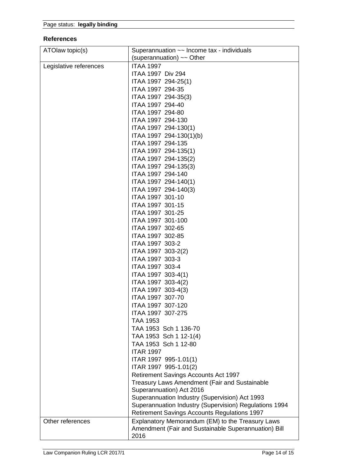## **References**

| ATOlaw topic(s)        | Superannuation $\sim$ Income tax - individuals                                                                   |  |
|------------------------|------------------------------------------------------------------------------------------------------------------|--|
|                        | (superannuation) $\sim$ Other                                                                                    |  |
| Legislative references | <b>ITAA 1997</b>                                                                                                 |  |
|                        | ITAA 1997 Div 294                                                                                                |  |
|                        | ITAA 1997 294-25(1)                                                                                              |  |
|                        | ITAA 1997 294-35                                                                                                 |  |
|                        | ITAA 1997 294-35(3)                                                                                              |  |
|                        | ITAA 1997 294-40                                                                                                 |  |
|                        | ITAA 1997 294-80                                                                                                 |  |
|                        | ITAA 1997 294-130                                                                                                |  |
|                        | ITAA 1997 294-130(1)                                                                                             |  |
|                        | ITAA 1997 294-130(1)(b)                                                                                          |  |
|                        | ITAA 1997 294-135                                                                                                |  |
|                        | ITAA 1997 294-135(1)                                                                                             |  |
|                        | ITAA 1997 294-135(2)                                                                                             |  |
|                        | ITAA 1997 294-135(3)                                                                                             |  |
|                        | ITAA 1997 294-140                                                                                                |  |
|                        | ITAA 1997 294-140(1)                                                                                             |  |
|                        | ITAA 1997 294-140(3)                                                                                             |  |
|                        | ITAA 1997 301-10                                                                                                 |  |
|                        | ITAA 1997 301-15                                                                                                 |  |
|                        | ITAA 1997 301-25                                                                                                 |  |
|                        | ITAA 1997 301-100                                                                                                |  |
|                        | ITAA 1997 302-65                                                                                                 |  |
|                        | ITAA 1997 302-85                                                                                                 |  |
|                        | ITAA 1997 303-2                                                                                                  |  |
|                        | ITAA 1997 303-2(2)                                                                                               |  |
|                        | ITAA 1997 303-3                                                                                                  |  |
|                        | ITAA 1997 303-4                                                                                                  |  |
|                        |                                                                                                                  |  |
|                        | ITAA 1997 303-4(1)                                                                                               |  |
|                        | ITAA 1997 303-4(2)                                                                                               |  |
|                        | ITAA 1997 303-4(3)                                                                                               |  |
|                        | ITAA 1997 307-70<br>ITAA 1997 307-120                                                                            |  |
|                        | ITAA 1997 307-275                                                                                                |  |
|                        |                                                                                                                  |  |
|                        | <b>TAA 1953</b><br>TAA 1953 Sch 1 136-70                                                                         |  |
|                        |                                                                                                                  |  |
|                        | TAA 1953 Sch 1 12-1(4)                                                                                           |  |
|                        | TAA 1953 Sch 1 12-80<br><b>ITAR 1997</b>                                                                         |  |
|                        |                                                                                                                  |  |
|                        | ITAR 1997 995-1.01(1)                                                                                            |  |
|                        | ITAR 1997 995-1.01(2)                                                                                            |  |
|                        | <b>Retirement Savings Accounts Act 1997</b>                                                                      |  |
|                        | <b>Treasury Laws Amendment (Fair and Sustainable</b>                                                             |  |
|                        | Superannuation) Act 2016                                                                                         |  |
|                        | Superannuation Industry (Supervision) Act 1993                                                                   |  |
|                        | Superannuation Industry (Supervision) Regulations 1994                                                           |  |
|                        | <b>Retirement Savings Accounts Regulations 1997</b>                                                              |  |
| Other references       | Explanatory Memorandum (EM) to the Treasury Laws<br>Amendment (Fair and Sustainable Superannuation) Bill<br>2016 |  |